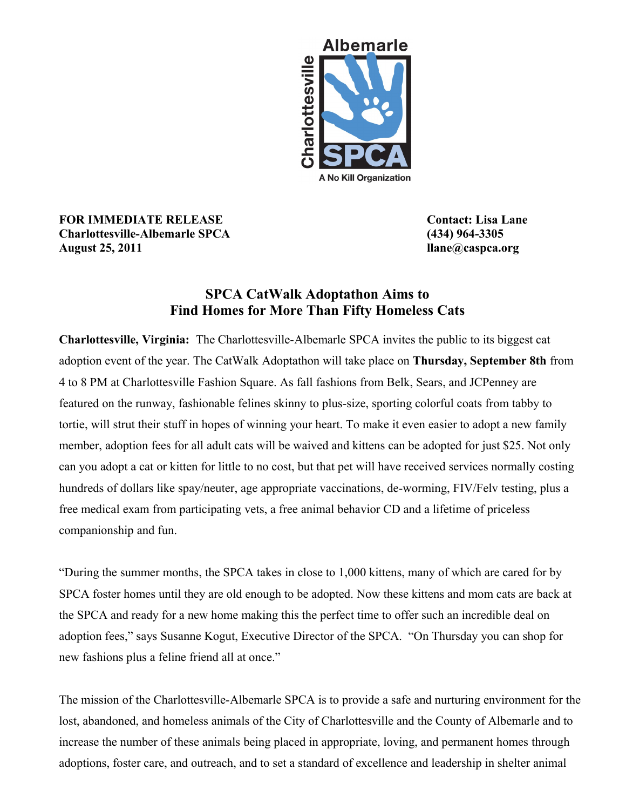

**FOR IMMEDIATE RELEASE Contact: Lisa Lane Charlottesville-Albemarle SPCA (434) 964-3305 August 25, 2011 llane@caspca.org**

## **SPCA CatWalk Adoptathon Aims to Find Homes for More Than Fifty Homeless Cats**

**Charlottesville, Virginia:** The Charlottesville-Albemarle SPCA invites the public to its biggest cat adoption event of the year. The CatWalk Adoptathon will take place on **Thursday, September 8th** from 4 to 8 PM at Charlottesville Fashion Square. As fall fashions from Belk, Sears, and JCPenney are featured on the runway, fashionable felines skinny to plus-size, sporting colorful coats from tabby to tortie, will strut their stuff in hopes of winning your heart. To make it even easier to adopt a new family member, adoption fees for all adult cats will be waived and kittens can be adopted for just \$25. Not only can you adopt a cat or kitten for little to no cost, but that pet will have received services normally costing hundreds of dollars like spay/neuter, age appropriate vaccinations, de-worming, FIV/Felv testing, plus a free medical exam from participating vets, a free animal behavior CD and a lifetime of priceless companionship and fun.

"During the summer months, the SPCA takes in close to 1,000 kittens, many of which are cared for by SPCA foster homes until they are old enough to be adopted. Now these kittens and mom cats are back at the SPCA and ready for a new home making this the perfect time to offer such an incredible deal on adoption fees," says Susanne Kogut, Executive Director of the SPCA. "On Thursday you can shop for new fashions plus a feline friend all at once."

The mission of the Charlottesville-Albemarle SPCA is to provide a safe and nurturing environment for the lost, abandoned, and homeless animals of the City of Charlottesville and the County of Albemarle and to increase the number of these animals being placed in appropriate, loving, and permanent homes through adoptions, foster care, and outreach, and to set a standard of excellence and leadership in shelter animal